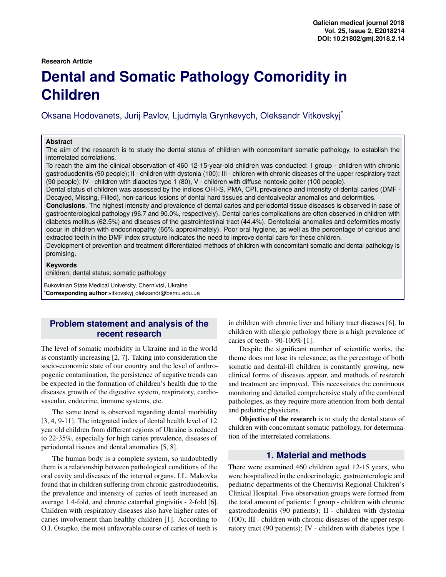#### **Research Article**

# **Dental and Somatic Pathology Comoridity in Children**

Oksana Hodovanets, Jurij Pavlov, Ljudmyla Grynkevych, Oleksandr Vitkovskyj\*

#### **Abstract**

The aim of the research is to study the dental status of children with concomitant somatic pathology, to establish the interrelated correlations.

To reach the aim the clinical observation of 460 12-15-year-old children was conducted: I group - children with chronic gastroduodenitis (90 people); II - children with dystonia (100); III - children with chronic diseases of the upper respiratory tract (90 people); IV - children with diabetes type 1 (80), V - children with diffuse nontoxic goiter (100 people).

Dental status of children was assessed by the indices OHI-S, PMA, CPI, prevalence and intensity of dental caries (DMF - Decayed, Missing, Filled), non-carious lesions of dental hard tissues and dentoalveolar anomalies and deformities.

**Conclusions**. The highest intensity and prevalence of dental caries and periodontal tissue diseases is observed in case of gastroenterological pathology (96.7 and 90.0%, respectively). Dental caries complications are often observed in children with diabetes mellitus (62.5%) and diseases of the gastrointestinal tract (44.4%). Dentofacial anomalies and deformities mostly occur in children with endocrinopathy (66% approximately). Poor oral hygiene, as well as the percentage of carious and extracted teeth in the DMF index structure indicates the need to improve dental care for these children.

Development of prevention and treatment differentiated methods of children with concomitant somatic and dental pathology is promising.

#### **Keywords**

children; dental status; somatic pathology

Bukovinian State Medical University, Chernivtsi, Ukraine \***Corresponding author**:vitkovskyj oleksandr@bsmu.edu.ua

## **Problem statement and analysis of the recent research**

The level of somatic morbidity in Ukraine and in the world is constantly increasing [2, 7]. Taking into consideration the socio-economic state of our country and the level of anthropogenic contamination, the persistence of negative trends can be expected in the formation of children's health due to the diseases growth of the digestive system, respiratory, cardiovascular, endocrine, immune systems, etc.

The same trend is observed regarding dental morbidity [3, 4, 9-11]. The integrated index of dental health level of 12 year old children from different regions of Ukraine is reduced to 22-35%, especially for high caries prevalence, diseases of periodontal tissues and dental anomalies [5, 8].

The human body is a complete system, so undoubtedly there is a relationship between pathological conditions of the oral cavity and diseases of the internal organs. I.L. Makovka found that in children suffering from chronic gastroduodenitis, the prevalence and intensity of caries of teeth increased an average 1.4-fold, and chronic catarrhal gingivitis - 2-fold [6]. Children with respiratory diseases also have higher rates of caries involvement than healthy children [1]. According to O.I. Ostapko, the most unfavorable course of caries of teeth is

in children with chronic liver and biliary tract diseases [6]. In children with allergic pathology there is a high prevalence of caries of teeth - 90-100% [1].

Despite the significant number of scientific works, the theme does not lose its relevance, as the percentage of both somatic and dental-ill children is constantly growing, new clinical forms of diseases appear, and methods of research and treatment are improved. This necessitates the continuous monitoring and detailed comprehensive study of the combined pathologies, as they require more attention from both dental and pediatric physicians.

Objective of the research is to study the dental status of children with concomitant somatic pathology, for determination of the interrelated correlations.

### **1. Material and methods**

There were examined 460 children aged 12-15 years, who were hospitalized in the endocrinologic, gastroenterologic and pediatric departments of the Chernivtsi Regional Children's Clinical Hospital. Five observation groups were formed from the total amount of patients: I group - children with chronic gastroduodenitis (90 patients); II - children with dystonia (100); III - children with chronic diseases of the upper respiratory tract (90 patients); IV - children with diabetes type 1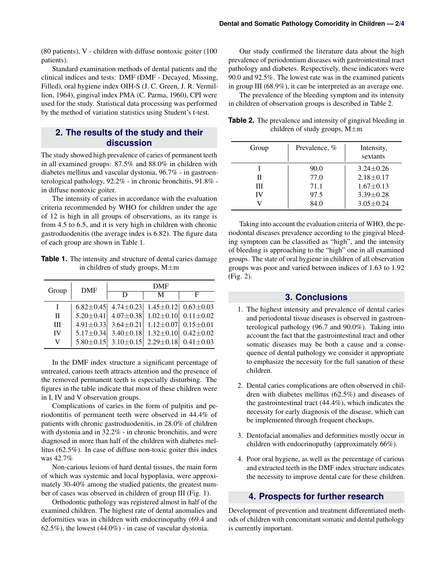(80 patients), V - children with diffuse nontoxic goiter (100 patients).

Standard examination methods of dental patients and the clinical indices and tests: DMF (DMF - Decayed, Missing, Filled), oral hygiene index OIH-S (J. C. Green, J. R. Vermillion, 1964), gingival index PMA (C. Parma, 1960), CPI were used for the study. Statistical data processing was performed by the method of variation statistics using Student's t-test.

# **2. The results of the study and their discussion**

The study showed high prevalence of caries of permanent teeth in all examined groups: 87.5% and 88.0% in children with diabetes mellitus and vascular dystonia, 96.7% - in gastroenterological pathology, 92.2% - in chronic bronchitis, 91.8% in diffuse nontoxic goiter.

The intensity of caries in accordance with the evaluation criteria recommended by WHO for children under the age of 12 is high in all groups of observations, as its range is from 4.5 to 6.5, and it is very high in children with chronic gastroduodenitis (the average index is 6.82). The figure data of each group are shown in Table 1.

**Table 1.** The intensity and structure of dental caries damage in children of study groups, M±m

| Group        | <b>DMF</b> | <b>DMF</b>                                                      |                                 |                                 |
|--------------|------------|-----------------------------------------------------------------|---------------------------------|---------------------------------|
|              |            | D                                                               | M                               | F                               |
|              |            | 6.82 $\pm$ 0.45 4.74 $\pm$ 0.23 1.45 $\pm$ 0.12 0.63 $\pm$ 0.03 |                                 |                                 |
| $\Pi$        |            | $5.20 \pm 0.41$ 4.07 $\pm$ 0.38 1.02 $\pm$ 0.10 0.11 $\pm$ 0.02 |                                 |                                 |
| $\mathbf{H}$ |            | $4.91 \pm 0.33$ 3.64 $\pm 0.21$                                 | $1.12 \pm 0.07$ 0.15 $\pm$ 0.01 |                                 |
| IV           |            | $5.17 \pm 0.34$ 3.40 $\pm$ 0.18                                 |                                 | $1.32 \pm 0.10$ 0.42 $\pm 0.02$ |
| V            |            | $5.80 \pm 0.15$ 3.10 $\pm 0.15$                                 |                                 | $2.29 \pm 0.18$ 0.41 $\pm$ 0.03 |

In the DMF index structure a significant percentage of untreated, carious teeth attracts attention and the presence of the removed permanent teeth is especially disturbing. The figures in the table indicate that most of these children were in I, IV and V observation groups.

Complications of caries in the form of pulpitis and periodontitis of permanent teeth were observed in 44.4% of patients with chronic gastroduodenitis, in 28.0% of children with dystonia and in 32.2% - in chronic bronchitis, and were diagnosed in more than half of the children with diabetes mellitus (62.5%). In case of diffuse non-toxic goiter this index was 42.7%

Non-carious lesions of hard dental tissues, the main form of which was systemic and local hypoplasia, were approximately 30-40% among the studied patients, the greatest number of cases was observed in children of group III (Fig. 1).

Orthodontic pathology was registered almost in half of the examined children. The highest rate of dental anomalies and deformities was in children with endocrinopathy (69.4 and 62.5%), the lowest (44.0%) - in case of vascular dystonia.

Our study confirmed the literature data about the high prevalence of periodontium diseases with gastrointestinal tract pathology and diabetes. Respectively, these indicators were 90.0 and 92.5%. The lowest rate was in the examined patients in group III (68.9%), it can be interpreted as an average one.

The prevalence of the bleeding symptom and its intensity in children of observation groups is described in Table 2.

**Table 2.** The prevalence and intensity of gingival bleeding in children of study groups, M±m

| Group | Prevalence, % | Intensity,<br>sextants |
|-------|---------------|------------------------|
|       | 90.0          | $3.24 \pm 0.26$        |
| П     | 77.0          | $2.18 \pm 0.17$        |
| Ш     | 71.1          | $1.67 \pm 0.13$        |
| IV    | 97.5          | $3.39 \pm 0.28$        |
|       | 84.0          | $3.05 \pm 0.24$        |

Taking into account the evaluation criteria of WHO, the periodontal diseases prevalence according to the gingival bleeding symptom can be classified as "high", and the intensity of bleeding is approaching to the "high" one in all examined groups. The state of oral hygiene in children of all observation groups was poor and varied between indices of 1.63 to 1.92 (Fig. 2).

## **3. Conclusions**

- 1. The highest intensity and prevalence of dental caries and periodontal tissue diseases is observed in gastroenterological pathology (96.7 and 90.0%). Taking into account the fact that the gastrointestinal tract and other somatic diseases may be both a cause and a consequence of dental pathology we consider it appropriate to emphasize the necessity for the full sanation of these children.
- 2. Dental caries complications are often observed in children with diabetes mellitus (62.5%) and diseases of the gastrointestinal tract (44.4%), which indicates the necessity for early diagnosis of the disease, which can be implemented through frequent checkups.
- 3. Dentofacial anomalies and deformities mostly occur in children with endocrinopathy (approximately 66%).
- 4. Poor oral hygiene, as well as the percentage of carious and extracted teeth in the DMF index structure indicates the necessity to improve dental care for these children.

## **4. Prospects for further research**

Development of prevention and treatment differentiated methods of children with concomitant somatic and dental pathology is currently important.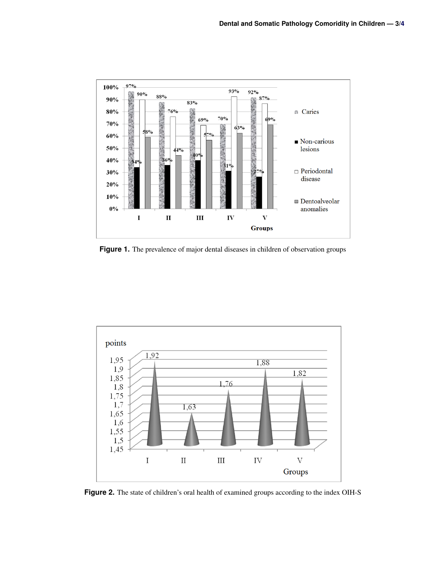

**Figure 1.** The prevalence of major dental diseases in children of observation groups



Figure 2. The state of children's oral health of examined groups according to the index OIH-S